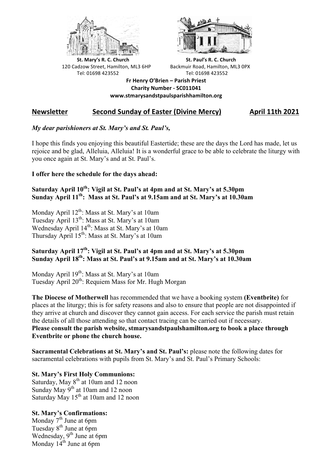



**St.** Mary's R. C. Church St. Paul's R. C. Church 120 Cadzow Street, Hamilton, ML3 6HP Backmuir Road, Hamilton, ML3 0PX Tel: 01698 423552 Tel: 01698 423552

**Fr Henry O'Brien – Parish Priest Charity Number - SC011041 www.stmarysandstpaulsparishhamilton.org**

# **Newsletter Second Sunday of Easter (Divine Mercy) April 11th 2021**

## *My dear parishioners at St. Mary's and St. Paul's,*

I hope this finds you enjoying this beautiful Eastertide; these are the days the Lord has made, let us rejoice and be glad, Alleluia, Alleluia! It is a wonderful grace to be able to celebrate the liturgy with you once again at St. Mary's and at St. Paul's.

#### **I offer here the schedule for the days ahead:**

## Saturday April 10<sup>th</sup>: Vigil at St. Paul's at 4pm and at St. Mary's at 5.30pm **Sunday April 11th: Mass at St. Paul's at 9.15am and at St. Mary's at 10.30am**

Monday April 12<sup>th</sup>: Mass at St. Mary's at 10am Tuesday April 13<sup>th</sup>: Mass at St. Mary's at 10am Wednesday April 14<sup>th</sup>: Mass at St. Mary's at 10am Thursday April 15th: Mass at St. Mary's at 10am

## **Saturday April 17th: Vigil at St. Paul's at 4pm and at St. Mary's at 5.30pm Sunday April 18th: Mass at St. Paul's at 9.15am and at St. Mary's at 10.30am**

Monday April 19<sup>th</sup>: Mass at St. Mary's at 10am Tuesday April 20<sup>th</sup>: Requiem Mass for Mr. Hugh Morgan

**The Diocese of Motherwell** has recommended that we have a booking system **(Eventbrite)** for places at the liturgy; this is for safety reasons and also to ensure that people are not disappointed if they arrive at church and discover they cannot gain access. For each service the parish must retain the details of all those attending so that contact tracing can be carried out if necessary. **Please consult the parish website, stmarysandstpaulshamilton.org to book a place through Eventbrite or phone the church house.**

**Sacramental Celebrations at St. Mary's and St. Paul's:** please note the following dates for sacramental celebrations with pupils from St. Mary's and St. Paul's Primary Schools:

#### **St. Mary's First Holy Communions:**

Saturday, May 8<sup>th</sup> at 10am and 12 noon Sunday May 9<sup>th</sup> at 10am and 12 noon Saturday May 15<sup>th</sup> at 10am and 12 noon

## **St. Mary's Confirmations:**

Monday  $7<sup>th</sup>$  June at 6pm Tuesday 8<sup>th</sup> June at 6pm Wednesday, 9<sup>th</sup> June at 6pm Monday  $14<sup>th</sup>$  June at 6pm